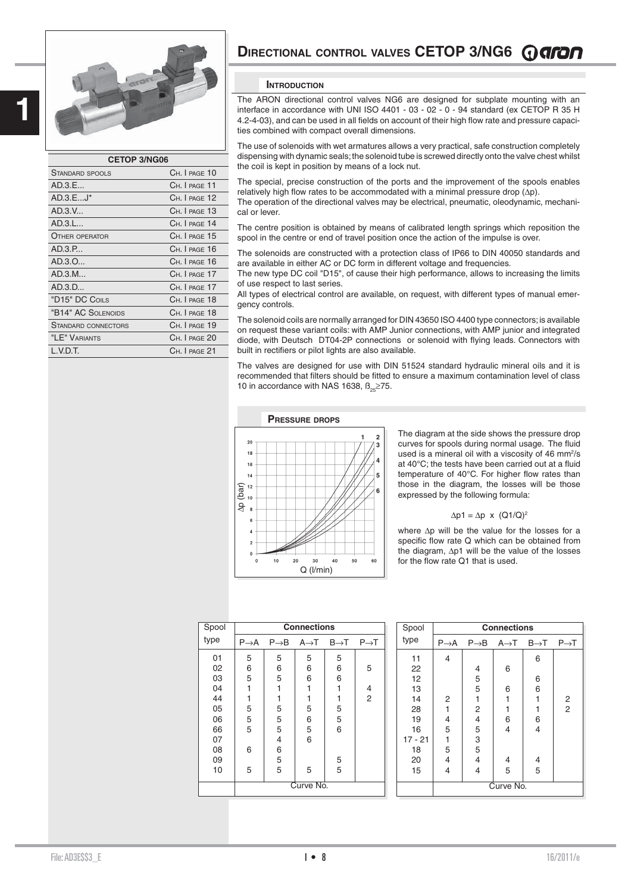



| <b>CETOP 3/NG06</b>        |               |  |  |  |
|----------------------------|---------------|--|--|--|
| <b>STANDARD SPOOLS</b>     | CH. I PAGE 10 |  |  |  |
| AD.3.E                     | CH. I PAGE 11 |  |  |  |
| $AD.3.EJ^*$                | CH. I PAGE 12 |  |  |  |
| AD.3.V                     | CH. I PAGE 13 |  |  |  |
| AD.3.L                     | CH. I PAGE 14 |  |  |  |
| <b>OTHER OPERATOR</b>      | CH. I PAGE 15 |  |  |  |
| AD.3.P                     | CH. I PAGE 16 |  |  |  |
| AD.3.0                     | CH. I PAGE 16 |  |  |  |
| AD.3.M                     | CH. I PAGE 17 |  |  |  |
| AD.3.D                     | CH. I PAGE 17 |  |  |  |
| "D15" DC CoiLs             | CH. I PAGE 18 |  |  |  |
| "B14" AC SOLENOIDS         | CH. I PAGE 18 |  |  |  |
| <b>STANDARD CONNECTORS</b> | CH.   PAGE 19 |  |  |  |
| "LE" VARIANTS              | CH. I PAGE 20 |  |  |  |
| L.V.D.T.                   | Ch. I раge 21 |  |  |  |

## **DIRECTIONAL CONTROL VALVES CETOP 3/NG6** *Q GFOR*

#### **INTRODUCTION**

The ARON directional control valves NG6 are designed for subplate mounting with an interface in accordance with UNI ISO 4401 - 03 - 02 - 0 - 94 standard (ex CETOP R 35 H 4.2-4-03), and can be used in all fields on account of their high flow rate and pressure capacities combined with compact overall dimensions.

The use of solenoids with wet armatures allows a very practical, safe construction completely dispensing with dynamic seals; the solenoid tube is screwed directly onto the valve chest whilst the coil is kept in position by means of a lock nut.

The special, precise construction of the ports and the improvement of the spools enables relatively high flow rates to be accommodated with a minimal pressure drop ( $\Delta p$ ).

The operation of the directional valves may be electrical, pneumatic, oleodynamic, mechanical or lever.

The centre position is obtained by means of calibrated length springs which reposition the spool in the centre or end of travel position once the action of the impulse is over.

The solenoids are constructed with a protection class of IP66 to DIN 40050 standards and are available in either AC or DC form in different voltage and frequencies.

The new type DC coil "D15", of cause their high performance, allows to increasing the limits of use respect to last series.

All types of electrical control are available, on request, with different types of manual emergency controls.

The solenoid coils are normally arranged for DIN 43650 ISO 4400 type connectors; is available on request these variant coils: with AMP Junior connections, with AMP junior and integrated diode, with Deutsch DT04-2P connections or solenoid with flying leads. Connectors with built in rectifiers or pilot lights are also available.

The valves are designed for use with DIN 51524 standard hydraulic mineral oils and it is recommended that filters should be fitted to ensure a maximum contamination level of class 10 in accordance with NAS 1638,  $B_{0.00} \ge 75$ .

#### **PRESSURE DROPS**



The diagram at the side shows the pressure drop curves for spools during normal usage. The fluid used is a mineral oil with a viscosity of 46 mm $^{2}/s$ at 40°C; the tests have been carried out at a fluid temperature of 40°C. For higher flow rates than those in the diagram, the losses will be those expressed by the following formula:

#### $\Delta$ p1 =  $\Delta$ p x (Q1/Q)<sup>2</sup>

where Δp will be the value for the losses for a specific flow rate Q which can be obtained from the diagram, Δp1 will be the value of the losses for the flow rate Q1 that is used.

| Spool | <b>Connections</b> |                  |                   |                  |                   |
|-------|--------------------|------------------|-------------------|------------------|-------------------|
| type  | $P \rightarrow A$  | $P\rightarrow B$ | $A \rightarrow T$ | $B\rightarrow T$ | $P \rightarrow T$ |
| 01    | 5                  | 5                | 5                 | 5                |                   |
| 02    | 6                  | 6                | 6                 | 6                | 5                 |
| 03    | 5                  | 5                | 6                 | 6                |                   |
| 04    | 1                  | 1                | 1                 | 1                | $\frac{4}{2}$     |
| 44    | 1                  | 1                | 1                 | 1                |                   |
| 05    |                    |                  | 5                 |                  |                   |
| 06    | $\frac{5}{5}$      | 5<br>5           | 6                 | 5<br>5           |                   |
| 66    | 5                  | 5                | 5                 | 6                |                   |
| 07    |                    | 4                | 6                 |                  |                   |
| 08    | 6                  | 6                |                   |                  |                   |
| 09    |                    | $\frac{5}{5}$    |                   | $\frac{5}{5}$    |                   |
| 10    | 5                  |                  | 5                 |                  |                   |
|       | Curve No.          |                  |                   |                  |                   |

| Spool     |                   | <b>Connections</b>      |                   |                  |                   |
|-----------|-------------------|-------------------------|-------------------|------------------|-------------------|
| type      | $P \rightarrow A$ | $P \rightarrow B$       | $A \rightarrow T$ | $B\rightarrow T$ | $P \rightarrow T$ |
| 11        | 4                 |                         |                   | 6                |                   |
| 22        |                   | 4                       | 6                 |                  |                   |
| 12        |                   | $\frac{5}{5}$           |                   | 6                |                   |
| 13        |                   |                         | 6                 | 6                |                   |
| 14        | 2                 | 1                       | 1                 | 1                | $\frac{2}{2}$     |
| 28        | 1                 | $\overline{\mathbf{c}}$ | 1                 | 1                |                   |
| 19        | 4                 | $\overline{\mathbf{4}}$ | 6                 | 6                |                   |
| 16        | 5                 | 5                       | 4                 | 4                |                   |
| $17 - 21$ | 1                 | 3                       |                   |                  |                   |
| 18        | 5                 | 5                       |                   |                  |                   |
| 20        | 4                 | 4                       | 4                 | 4                |                   |
| 15        | 4                 | 4                       | 5                 | 5                |                   |
|           |                   | Curve No.               |                   |                  |                   |

File: AD3E\$\$3\_E 16/2011/e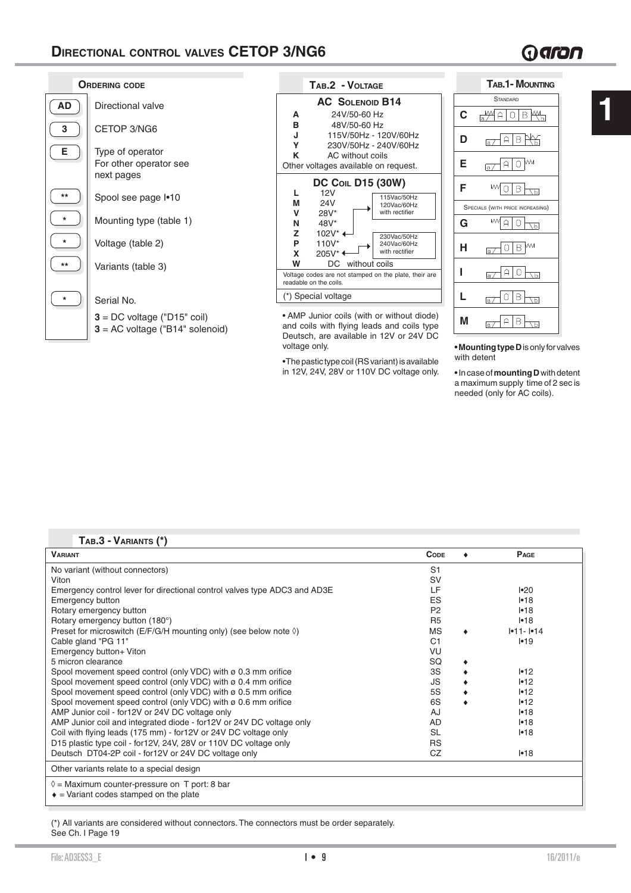# Garan

**1**





• AMP Junior coils (with or without diode) and coils with flying leads and coils type Deutsch, are available in 12V or 24V DC voltage only.

• The pastic type coil (RS variant) is available in 12V, 24V, 28V or 110V DC voltage only.

|   | TAB.1- MOUNTING                                  |
|---|--------------------------------------------------|
|   | <b>STANDARD</b>                                  |
| C | B<br>0<br>A<br>Гa                                |
| D | Β<br>Ĥ<br>ſa                                     |
| E | $\mathcal{M}$<br>$\circ$<br>Ĥ<br>Γa              |
| F | B<br>ъ1                                          |
|   | SPECIALS (WITH PRICE INCREASING)                 |
| G | M٨<br>$\bigcirc$<br>A<br>$\overline{\mathsf{b}}$ |
| н | $\mathcal{M}$<br>B<br>∩<br>Ta                    |
| ı | Ω<br>ᆔ<br>ſa                                     |
|   | R<br>Ħ<br>Б<br>la                                |
| M | la                                               |

#### **• Mounting type D** is only for valves with detent

**•** In case of **mounting D** with detent a maximum supply time of 2 sec is needed (only for AC coils).

### **TAB.3 - VARIANTS (\*)**

| <b>VARIANT</b>                                                                                           | <b>CODE</b>    | PAGE           |
|----------------------------------------------------------------------------------------------------------|----------------|----------------|
| No variant (without connectors)                                                                          | S <sub>1</sub> |                |
| Viton                                                                                                    | <b>SV</b>      |                |
| Emergency control lever for directional control valves type ADC3 and AD3E                                | LF             | •20            |
| <b>Emergency button</b>                                                                                  | ES             | $-18$          |
| Rotary emergency button                                                                                  | P <sub>2</sub> | $-18$          |
| Rotary emergency button (180°)                                                                           | R <sub>5</sub> | •18            |
| Preset for microswitch (E/F/G/H mounting only) (see below note $\Diamond$ )                              | <b>MS</b>      | $ •11 -  •14 $ |
| Cable gland "PG 11"                                                                                      | C <sub>1</sub> | $ -19$         |
| Emergency button+ Viton                                                                                  | VU             |                |
| 5 micron clearance                                                                                       | SQ             |                |
| Spool movement speed control (only VDC) with ø 0.3 mm orifice                                            | 3S             | •12            |
| Spool movement speed control (only VDC) with ø 0.4 mm orifice                                            | JS             | 1•12           |
| Spool movement speed control (only VDC) with ø 0.5 mm orifice                                            | 5S             | •12            |
| Spool movement speed control (only VDC) with ø 0.6 mm orifice                                            | 6S             | 1•12           |
| AMP Junior coil - for12V or 24V DC voltage only                                                          | AJ             | $ -18$         |
| AMP Junior coil and integrated diode - for 12V or 24V DC voltage only                                    | AD             | $ -18$         |
| Coil with flying leads (175 mm) - for12V or 24V DC voltage only                                          | <b>SL</b>      | $ -18$         |
| D15 plastic type coil - for 12V, 24V, 28V or 110V DC voltage only                                        | <b>RS</b>      |                |
| Deutsch DT04-2P coil - for12V or 24V DC voltage only                                                     | <b>CZ</b>      | $ -18$         |
| Other variants relate to a special design                                                                |                |                |
| $\Diamond$ = Maximum counter-pressure on T port: 8 bar<br>$\bullet$ = Variant codes stamped on the plate |                |                |

(\*) All variants are considered without connectors. The connectors must be order separately. See Ch. I Page 19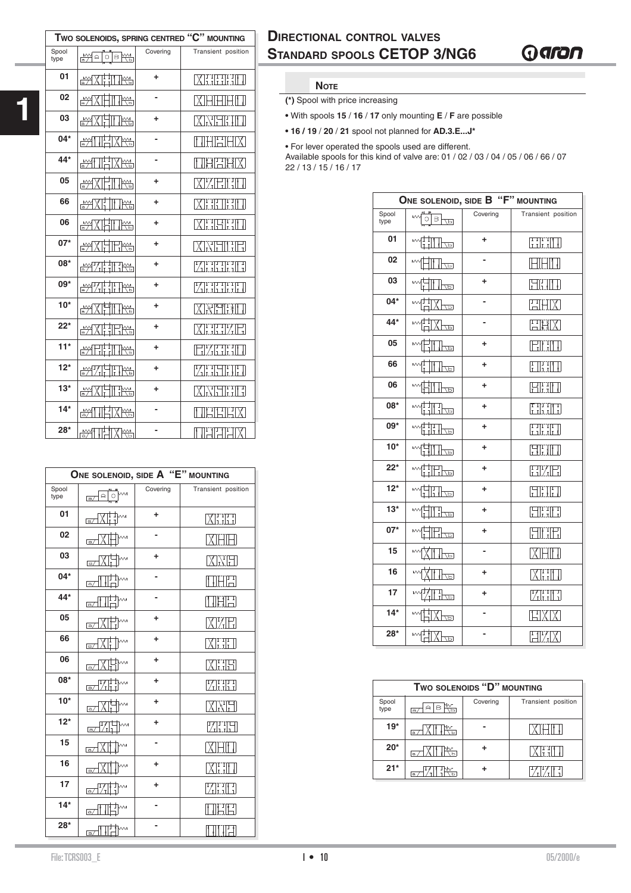| Two solenoids, spring centred "C" mounting |                                                                                                                                                                                                                                                                                                                                                     |          |                    |  |
|--------------------------------------------|-----------------------------------------------------------------------------------------------------------------------------------------------------------------------------------------------------------------------------------------------------------------------------------------------------------------------------------------------------|----------|--------------------|--|
| Spool<br>type                              | ₩미이 <sub>B</sub> ₩                                                                                                                                                                                                                                                                                                                                  | Covering | Transient position |  |
| 01                                         | <u>MXHII K</u>                                                                                                                                                                                                                                                                                                                                      | ÷        | <b>XEEEH</b>       |  |
| 02                                         | I <del>m</del>                                                                                                                                                                                                                                                                                                                                      |          | <b>MHAHA</b>       |  |
| 03                                         | Tra                                                                                                                                                                                                                                                                                                                                                 | ÷        | <b>XEETIL</b>      |  |
| $04*$                                      | 問<br>Xrs                                                                                                                                                                                                                                                                                                                                            | -        | THEIHIXI           |  |
| 44*                                        | ⊯ਅ<br>{₩                                                                                                                                                                                                                                                                                                                                            |          | 口用石其区              |  |
| 05                                         | e⁄X<br><b>IYY</b>                                                                                                                                                                                                                                                                                                                                   | ÷        | <b>XIZEIHE</b>     |  |
| 66                                         | $\mathbb{M}\times$<br>™                                                                                                                                                                                                                                                                                                                             | ÷        | <b>XELETIN</b>     |  |
| 06                                         | తిగ<br>Try I                                                                                                                                                                                                                                                                                                                                        | ÷        | <b>XHHHHI</b>      |  |
| $07*$                                      | Ti                                                                                                                                                                                                                                                                                                                                                  | ÷        | <b>XXEIGE</b>      |  |
| 08*                                        | <u> 2471 11 RS</u>                                                                                                                                                                                                                                                                                                                                  | ÷        | <b>ZETHER</b>      |  |
| 09*                                        | $\begin{picture}(220,10) \put(0,0){\line(1,0){10}} \put(10,0){\line(1,0){10}} \put(10,0){\line(1,0){10}} \put(10,0){\line(1,0){10}} \put(10,0){\line(1,0){10}} \put(10,0){\line(1,0){10}} \put(10,0){\line(1,0){10}} \put(10,0){\line(1,0){10}} \put(10,0){\line(1,0){10}} \put(10,0){\line(1,0){10}} \put(10,0){\line(1,0){10}} \put(10,0){\line($ | ÷        | <b>ZETTERET</b>    |  |
| $10*$                                      | <u>MXKIIK</u>                                                                                                                                                                                                                                                                                                                                       | ÷        | <b>XETHI</b>       |  |
| $22*$                                      | $\frac{1}{\sqrt{2}}$<br>-m                                                                                                                                                                                                                                                                                                                          | ÷        | XHHZH              |  |
| $11*$                                      | $\frac{1}{\sqrt{2}}$<br>The                                                                                                                                                                                                                                                                                                                         | ÷        | <b>EKERIO</b>      |  |
| $12*$                                      | $\frac{1}{2}$<br>TH                                                                                                                                                                                                                                                                                                                                 | ÷        | <b>ZETHER</b>      |  |
| $13*$                                      | Text<br>$\mathbb{R}^N$ XIt                                                                                                                                                                                                                                                                                                                          | ÷        | XKEKIH             |  |
| $14*$                                      | ŗ<br>Χ₩                                                                                                                                                                                                                                                                                                                                             |          | IHEIHX             |  |
| 28*                                        | Π.<br>₩<br>∦₩                                                                                                                                                                                                                                                                                                                                       | -        | 唱哥哥区               |  |
|                                            |                                                                                                                                                                                                                                                                                                                                                     |          |                    |  |
|                                            |                                                                                                                                                                                                                                                                                                                                                     |          |                    |  |

| <b>DIRECTIONAL CONTROL VALVES</b>  |
|------------------------------------|
| <b>STANDARD SPOOLS CETOP 3/NG6</b> |

## Qaran

### **NOTE**

**(\*)** Spool with price increasing

**•** With spools **15** / **16** / **17** only mounting **E** / **F** are possible

**• 16 / 19** / **20** / **21** spool not planned for **AD.3.E...J\***

• For lever operated the spools used are different.

Available spools for this kind of valve are: 01 / 02 / 03 / 04 / 05 / 06 / 66 / 07 22 / 13 / 15 / 16 / 17

|               | ONE SOLENOID, SIDE B "F" MOUNTING |          |                                                  |  |  |  |
|---------------|-----------------------------------|----------|--------------------------------------------------|--|--|--|
| Spool<br>type | M<br>$\circ$<br>B<br>ΔЛ           | Covering | Transient position                               |  |  |  |
| 01            | ſŦ<br>ᅨ<br>╟╩╝                    | ÷        | HHH                                              |  |  |  |
| 02            | l Lei                             |          | HH M                                             |  |  |  |
| 03            | ŢЫ                                | ÷        | $\prod_{i=1}^n \prod_{i=1}^n$                    |  |  |  |
| $04*$         | 同                                 |          | EIHKI                                            |  |  |  |
| 44*           | $\overline{H}$                    |          | HHX                                              |  |  |  |
| 05            | 口                                 | ÷        | EKIN                                             |  |  |  |
| 66            | ĀД                                | ÷        | $\prod_{\mathrm{L}}$ , $\prod_{\mathrm{L}}$<br>F |  |  |  |
| 06            | ŢЫ                                | ÷        | <b>Hitle</b>                                     |  |  |  |
| 08*           | $\frac{1}{1}$<br>ŢЫ               | ÷        | HITT                                             |  |  |  |
| 09*           | 心可                                | ÷        | $\frac{1}{1}$                                    |  |  |  |
| $10*$         | l Ze                              | ÷        | <b>EIN</b>                                       |  |  |  |
| $22*$         | ᇻ                                 | ÷        | HZH                                              |  |  |  |
| $12*$         | 同                                 | ÷        | <b>Filipi</b>                                    |  |  |  |
| $13*$         | ᇻᅍ                                | ÷        | HHH                                              |  |  |  |
| $07*$         | 긲<br>同                            | ٠        | EINE                                             |  |  |  |
| 15            | $\overline{H}$                    |          | XHIT                                             |  |  |  |
| 16            | Œ                                 | ÷        | XHIT                                             |  |  |  |
| 17            | ŢД                                | ÷        | ZETH                                             |  |  |  |
| $14*$         | 日/                                | -        | FIXIXI                                           |  |  |  |
| $28*$         | X <del>Lo</del>                   |          | HKK                                              |  |  |  |

| TWO SOLENOIDS "D" MOUNTING |          |          |                    |  |  |
|----------------------------|----------|----------|--------------------|--|--|
| Spool<br>type              | a        | Covering | Transient position |  |  |
| $19*$                      | $\alpha$ |          |                    |  |  |
| $20*$                      | la       |          |                    |  |  |
| $21*$                      | $\alpha$ |          |                    |  |  |

| ONE SOLENOID, SIDE A "E" MOUNTING |                                           |          |                    |  |  |
|-----------------------------------|-------------------------------------------|----------|--------------------|--|--|
| Spool<br>type                     | $\mathsf{a}$<br>$\circ$<br>$\overline{a}$ | Covering | Transient position |  |  |
| 01                                | $\overline{a}$                            | ÷        | XHH                |  |  |
| 02                                | $\overline{a}$                            |          | XIHIHI             |  |  |
| 03                                | W<br>$\overline{a}$                       | ٠        | XKH                |  |  |
| $04*$                             | $\overline{a}$                            |          | H                  |  |  |
| 44*                               | l T <sub>M</sub><br>$\sqrt{a}$            |          | IHE                |  |  |
| 05                                | $\sim$<br>ſa,                             | ٠        | XY:H               |  |  |
| 66                                | Ŵ,<br>$\sqrt{a}$                          | ÷        | KEIT               |  |  |
| 06                                | $\overline{\mathsf{a}}$                   | ÷        | XHH                |  |  |
| 08*                               | $\overline{\mathsf{a}}$                   | ÷        | WHI                |  |  |
| $10*$                             | $\rightsquigarrow$<br>a                   | ÷        | XXH                |  |  |
| $12*$                             | $\overline{a}$                            | ÷        | ZHH                |  |  |
| 15                                | $\vert a/$                                | -        |                    |  |  |
| 16                                | W<br>$\overline{a}$                       | ٠        | XHH                |  |  |
| 17                                | Ŵ,<br>$\sqrt{a}$                          | ٠        | ZHH                |  |  |
| $14*$                             | azi                                       |          | 咄田                 |  |  |
| $28*$                             | tM<br>a/l                                 |          | INEI               |  |  |